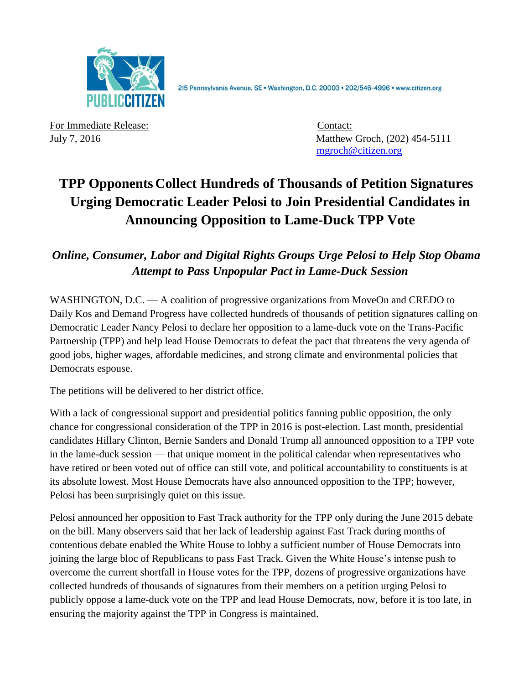

215 Pennsylvania Avenue, SE · Washington, D.C. 20003 · 202/546-4996 · www.citizen.org

For Immediate Release: Contact: Contact:

July 7, 2016 Matthew Groch, (202) 454-5111 [mgroch@citizen.org](mailto:mgroch@citizen.org)

## **TPP Opponents Collect Hundreds of Thousands of Petition Signatures Urging Democratic Leader Pelosi to Join Presidential Candidates in Announcing Opposition to Lame-Duck TPP Vote**

## *Online, Consumer, Labor and Digital Rights Groups Urge Pelosi to Help Stop Obama Attempt to Pass Unpopular Pact in Lame-Duck Session*

WASHINGTON, D.C. — A coalition of progressive organizations from MoveOn and CREDO to Daily Kos and Demand Progress have collected hundreds of thousands of petition signatures calling on Democratic Leader Nancy Pelosi to declare her opposition to a lame-duck vote on the Trans-Pacific Partnership (TPP) and help lead House Democrats to defeat the pact that threatens the very agenda of good jobs, higher wages, affordable medicines, and strong climate and environmental policies that Democrats espouse.

The petitions will be delivered to her district office.

With a lack of congressional support and presidential politics fanning public opposition, the only chance for congressional consideration of the TPP in 2016 is post-election. Last month, presidential candidates Hillary Clinton, Bernie Sanders and Donald Trump all announced opposition to a TPP vote in the lame-duck session — that unique moment in the political calendar when representatives who have retired or been voted out of office can still vote, and political accountability to constituents is at its absolute lowest. Most House Democrats have also announced opposition to the TPP; however, Pelosi has been surprisingly quiet on this issue.

Pelosi announced her opposition to Fast Track authority for the TPP only during the June 2015 debate on the bill. Many observers said that her lack of leadership against Fast Track during months of contentious debate enabled the White House to lobby a sufficient number of House Democrats into joining the large bloc of Republicans to pass Fast Track. Given the White House's intense push to overcome the current shortfall in House votes for the TPP, dozens of progressive organizations have collected hundreds of thousands of signatures from their members on a petition urging Pelosi to publicly oppose a lame-duck vote on the TPP and lead House Democrats, now, before it is too late, in ensuring the majority against the TPP in Congress is maintained.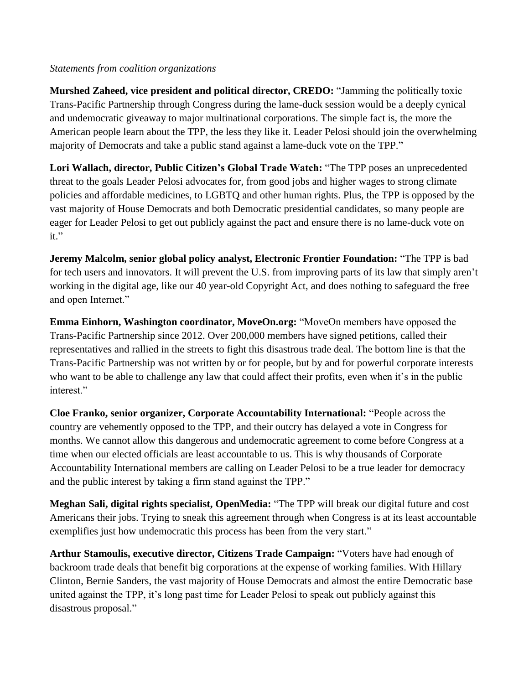## *Statements from coalition organizations*

**Murshed Zaheed, vice president and political director, CREDO:** "Jamming the politically toxic Trans-Pacific Partnership through Congress during the lame-duck session would be a deeply cynical and undemocratic giveaway to major multinational corporations. The simple fact is, the more the American people learn about the TPP, the less they like it. Leader Pelosi should join the overwhelming majority of Democrats and take a public stand against a lame-duck vote on the TPP."

**Lori Wallach, director, Public Citizen's Global Trade Watch:** "The TPP poses an unprecedented threat to the goals Leader Pelosi advocates for, from good jobs and higher wages to strong climate policies and affordable medicines, to LGBTQ and other human rights. Plus, the TPP is opposed by the vast majority of House Democrats and both Democratic presidential candidates, so many people are eager for Leader Pelosi to get out publicly against the pact and ensure there is no lame-duck vote on it."

**Jeremy Malcolm, senior global policy analyst, Electronic Frontier Foundation:** "The TPP is bad for tech users and innovators. It will prevent the U.S. from improving parts of its law that simply aren't working in the digital age, like our 40 year-old Copyright Act, and does nothing to safeguard the free and open Internet."

**Emma Einhorn, Washington coordinator, MoveOn.org:** "MoveOn members have opposed the Trans-Pacific Partnership since 2012. Over 200,000 members have signed petitions, called their representatives and rallied in the streets to fight this disastrous trade deal. The bottom line is that the Trans-Pacific Partnership was not written by or for people, but by and for powerful corporate interests who want to be able to challenge any law that could affect their profits, even when it's in the public interest<sup>"</sup>

**Cloe Franko, senior organizer, Corporate Accountability International:** "People across the country are vehemently opposed to the TPP, and their outcry has delayed a vote in Congress for months. We cannot allow this dangerous and undemocratic agreement to come before Congress at a time when our elected officials are least accountable to us. This is why thousands of Corporate Accountability International members are calling on Leader Pelosi to be a true leader for democracy and the public interest by taking a firm stand against the TPP."

**Meghan Sali, digital rights specialist, OpenMedia:** "The TPP will break our digital future and cost Americans their jobs. Trying to sneak this agreement through when Congress is at its least accountable exemplifies just how undemocratic this process has been from the very start."

**Arthur Stamoulis, executive director, Citizens Trade Campaign:** "Voters have had enough of backroom trade deals that benefit big corporations at the expense of working families. With Hillary Clinton, Bernie Sanders, the vast majority of House Democrats and almost the entire Democratic base united against the TPP, it's long past time for Leader Pelosi to speak out publicly against this disastrous proposal."